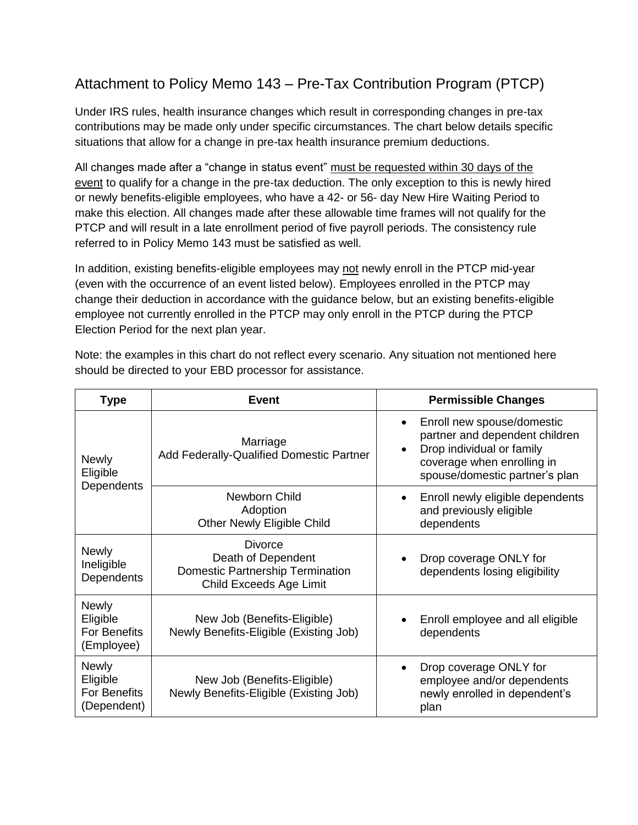# Attachment to Policy Memo 143 – Pre-Tax Contribution Program (PTCP)

Under IRS rules, health insurance changes which result in corresponding changes in pre-tax contributions may be made only under specific circumstances. The chart below details specific situations that allow for a change in pre-tax health insurance premium deductions.

All changes made after a "change in status event" must be requested within 30 days of the event to qualify for a change in the pre-tax deduction. The only exception to this is newly hired or newly benefits-eligible employees, who have a 42- or 56- day New Hire Waiting Period to make this election. All changes made after these allowable time frames will not qualify for the PTCP and will result in a late enrollment period of five payroll periods. The consistency rule referred to in Policy Memo 143 must be satisfied as well.

In addition, existing benefits-eligible employees may not newly enroll in the PTCP mid-year (even with the occurrence of an event listed below). Employees enrolled in the PTCP may change their deduction in accordance with the guidance below, but an existing benefits-eligible employee not currently enrolled in the PTCP may only enroll in the PTCP during the PTCP Election Period for the next plan year.

| <b>Type</b>                                                    | <b>Event</b>                                                                                        | <b>Permissible Changes</b>                                                                                                                                |
|----------------------------------------------------------------|-----------------------------------------------------------------------------------------------------|-----------------------------------------------------------------------------------------------------------------------------------------------------------|
| <b>Newly</b><br>Eligible<br>Dependents                         | Marriage<br>Add Federally-Qualified Domestic Partner                                                | Enroll new spouse/domestic<br>partner and dependent children<br>Drop individual or family<br>coverage when enrolling in<br>spouse/domestic partner's plan |
|                                                                | Newborn Child<br>Adoption<br>Other Newly Eligible Child                                             | Enroll newly eligible dependents<br>$\bullet$<br>and previously eligible<br>dependents                                                                    |
| <b>Newly</b><br>Ineligible<br>Dependents                       | Divorce<br>Death of Dependent<br><b>Domestic Partnership Termination</b><br>Child Exceeds Age Limit | Drop coverage ONLY for<br>dependents losing eligibility                                                                                                   |
| <b>Newly</b><br>Eligible<br>For Benefits<br>(Employee)         | New Job (Benefits-Eligible)<br>Newly Benefits-Eligible (Existing Job)                               | Enroll employee and all eligible<br>dependents                                                                                                            |
| <b>Newly</b><br>Eligible<br><b>For Benefits</b><br>(Dependent) | New Job (Benefits-Eligible)<br>Newly Benefits-Eligible (Existing Job)                               | Drop coverage ONLY for<br>٠<br>employee and/or dependents<br>newly enrolled in dependent's<br>plan                                                        |

Note: the examples in this chart do not reflect every scenario. Any situation not mentioned here should be directed to your EBD processor for assistance.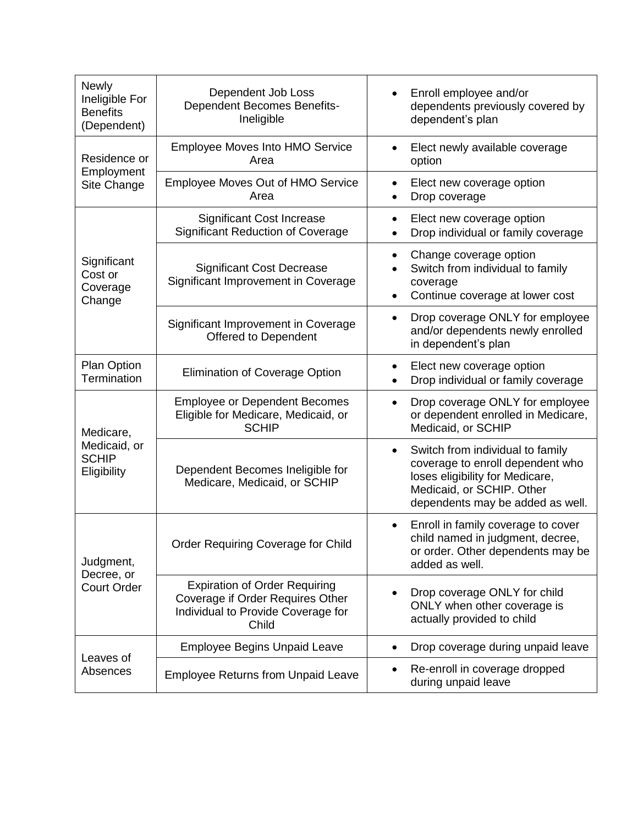| <b>Newly</b><br>Ineligible For<br><b>Benefits</b><br>(Dependent) | Dependent Job Loss<br><b>Dependent Becomes Benefits-</b><br>Ineligible                                                  | Enroll employee and/or<br>dependents previously covered by<br>dependent's plan                                                                                                        |
|------------------------------------------------------------------|-------------------------------------------------------------------------------------------------------------------------|---------------------------------------------------------------------------------------------------------------------------------------------------------------------------------------|
| Residence or<br>Employment<br>Site Change                        | Employee Moves Into HMO Service<br>Area                                                                                 | Elect newly available coverage<br>$\bullet$<br>option                                                                                                                                 |
|                                                                  | Employee Moves Out of HMO Service<br>Area                                                                               | Elect new coverage option<br>٠<br>Drop coverage<br>$\bullet$                                                                                                                          |
| Significant<br>Cost or<br>Coverage<br>Change                     | <b>Significant Cost Increase</b><br><b>Significant Reduction of Coverage</b>                                            | Elect new coverage option<br>$\bullet$<br>Drop individual or family coverage                                                                                                          |
|                                                                  | <b>Significant Cost Decrease</b><br>Significant Improvement in Coverage                                                 | Change coverage option<br>$\bullet$<br>Switch from individual to family<br>coverage<br>Continue coverage at lower cost<br>٠                                                           |
|                                                                  | Significant Improvement in Coverage<br><b>Offered to Dependent</b>                                                      | Drop coverage ONLY for employee<br>$\bullet$<br>and/or dependents newly enrolled<br>in dependent's plan                                                                               |
| <b>Plan Option</b><br>Termination                                | <b>Elimination of Coverage Option</b>                                                                                   | Elect new coverage option<br>$\bullet$<br>Drop individual or family coverage<br>$\bullet$                                                                                             |
| Medicare,<br>Medicaid, or<br><b>SCHIP</b><br>Eligibility         | <b>Employee or Dependent Becomes</b><br>Eligible for Medicare, Medicaid, or<br><b>SCHIP</b>                             | Drop coverage ONLY for employee<br>$\bullet$<br>or dependent enrolled in Medicare,<br>Medicaid, or SCHIP                                                                              |
|                                                                  | Dependent Becomes Ineligible for<br>Medicare, Medicaid, or SCHIP                                                        | Switch from individual to family<br>$\bullet$<br>coverage to enroll dependent who<br>loses eligibility for Medicare,<br>Medicaid, or SCHIP. Other<br>dependents may be added as well. |
| Judgment,<br>Decree, or<br><b>Court Order</b>                    | Order Requiring Coverage for Child                                                                                      | Enroll in family coverage to cover<br>child named in judgment, decree,<br>or order. Other dependents may be<br>added as well.                                                         |
|                                                                  | <b>Expiration of Order Requiring</b><br>Coverage if Order Requires Other<br>Individual to Provide Coverage for<br>Child | Drop coverage ONLY for child<br>ONLY when other coverage is<br>actually provided to child                                                                                             |
| Leaves of<br>Absences                                            | <b>Employee Begins Unpaid Leave</b>                                                                                     | Drop coverage during unpaid leave<br>$\bullet$                                                                                                                                        |
|                                                                  | <b>Employee Returns from Unpaid Leave</b>                                                                               | Re-enroll in coverage dropped<br>during unpaid leave                                                                                                                                  |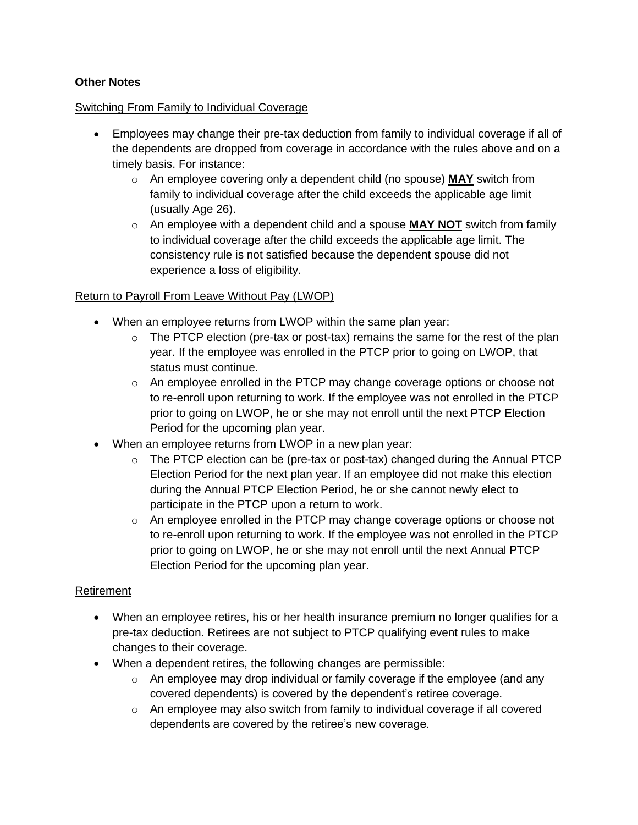## **Other Notes**

#### Switching From Family to Individual Coverage

- Employees may change their pre-tax deduction from family to individual coverage if all of the dependents are dropped from coverage in accordance with the rules above and on a timely basis. For instance:
	- o An employee covering only a dependent child (no spouse) **MAY** switch from family to individual coverage after the child exceeds the applicable age limit (usually Age 26).
	- o An employee with a dependent child and a spouse **MAY NOT** switch from family to individual coverage after the child exceeds the applicable age limit. The consistency rule is not satisfied because the dependent spouse did not experience a loss of eligibility.

## Return to Payroll From Leave Without Pay (LWOP)

- When an employee returns from LWOP within the same plan year:
	- $\circ$  The PTCP election (pre-tax or post-tax) remains the same for the rest of the plan year. If the employee was enrolled in the PTCP prior to going on LWOP, that status must continue.
	- $\circ$  An employee enrolled in the PTCP may change coverage options or choose not to re-enroll upon returning to work. If the employee was not enrolled in the PTCP prior to going on LWOP, he or she may not enroll until the next PTCP Election Period for the upcoming plan year.
- When an employee returns from LWOP in a new plan year:
	- $\circ$  The PTCP election can be (pre-tax or post-tax) changed during the Annual PTCP Election Period for the next plan year. If an employee did not make this election during the Annual PTCP Election Period, he or she cannot newly elect to participate in the PTCP upon a return to work.
	- $\circ$  An employee enrolled in the PTCP may change coverage options or choose not to re-enroll upon returning to work. If the employee was not enrolled in the PTCP prior to going on LWOP, he or she may not enroll until the next Annual PTCP Election Period for the upcoming plan year.

#### Retirement

- When an employee retires, his or her health insurance premium no longer qualifies for a pre-tax deduction. Retirees are not subject to PTCP qualifying event rules to make changes to their coverage.
- When a dependent retires, the following changes are permissible:
	- $\circ$  An employee may drop individual or family coverage if the employee (and any covered dependents) is covered by the dependent's retiree coverage.
	- $\circ$  An employee may also switch from family to individual coverage if all covered dependents are covered by the retiree's new coverage.